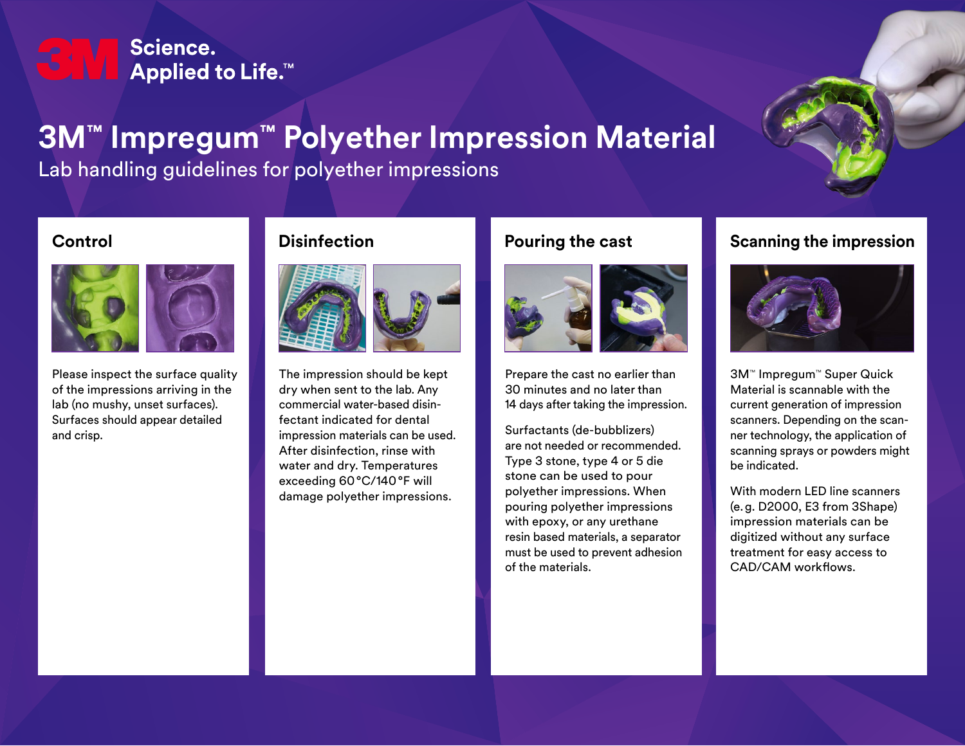# Science. **Applied to Life.™**

# **3M™ Impregum™ Polyether Impression Material**

Lab handling guidelines for polyether impressions

#### **Control**



Please inspect the surface quality of the impressions arriving in the lab (no mushy, unset surfaces). Surfaces should appear detailed and crisp.

## **Disinfection**



The impression should be kept dry when sent to the lab. Any commercial water-based disinfectant indicated for dental impression materials can be used. After disinfection, rinse with water and dry. Temperatures exceeding 60°C/140°F will damage polyether impressions.

## **Pouring the cast**



Prepare the cast no earlier than 30 minutes and no later than 14 days after taking the impression.

Surfactants (de-bubblizers) are not needed or recommended. Type 3 stone, type 4 or 5 die stone can be used to pour polyether impressions. When pouring polyether impressions with epoxy, or any urethane resin based materials, a separator must be used to prevent adhesion of the materials.

### **Scanning the impression**



3M™ Impregum™ Super Quick Material is scannable with the current generation of impression scanners. Depending on the scanner technology, the application of scanning sprays or powders might be indicated.

With modern LED line scanners (e.g. D2000, E3 from 3Shape) impression materials can be digitized without any surface treatment for easy access to CAD/CAM workflows.